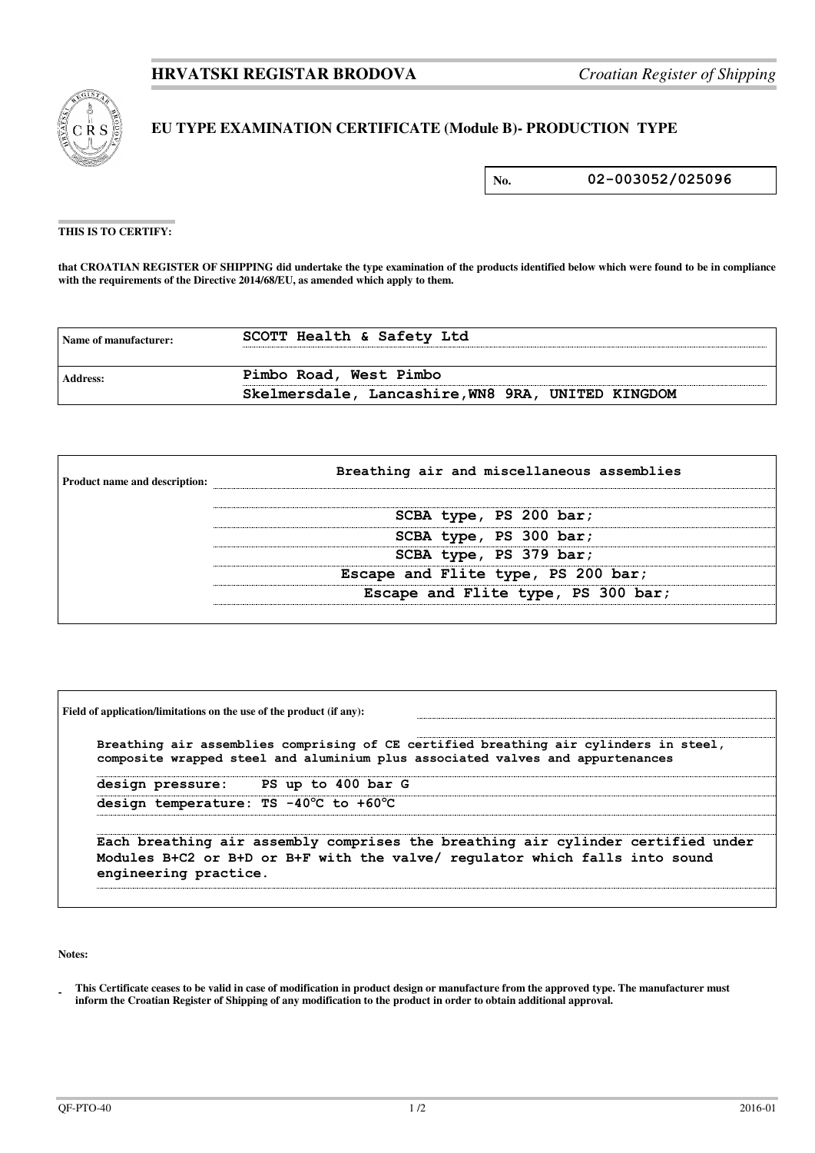

## **EU TYPE EXAMINATION CERTIFICATE (Module B)- PRODUCTION TYPE**

**No. 02-003052/025096**

## **THIS IS TO CERTIFY:**

**that CROATIAN REGISTER OF SHIPPING did undertake the type examination of the products identified below which were found to be in compliance**  with the requirements of the Directive 2014/68/EU, as amended which apply to them.

| Name of manufacturer: | SCOTT Health & Safety Ltd                         |
|-----------------------|---------------------------------------------------|
| <b>Address:</b>       | Pimbo Road, West Pimbo                            |
|                       | Skelmersdale, Lancashire, WN8 9RA, UNITED KINGDOM |

| <b>Product name and description:</b> | Breathing air and miscellaneous assemblies |  |  |
|--------------------------------------|--------------------------------------------|--|--|
|                                      | SCBA type, PS 200 bar;                     |  |  |
|                                      | SCBA type, PS 300 bar;                     |  |  |
|                                      | SCBA type, PS 379 bar;                     |  |  |
|                                      | Escape and Flite type, PS 200 bar;         |  |  |
|                                      | Escape and Flite type, PS 300 bar;         |  |  |
|                                      |                                            |  |  |

| Breathing air assemblies comprising of CE certified breathing air cylinders in steel,<br>composite wrapped steel and aluminium plus associated valves and appurtenances |                       |                                                                                                                                                                 |  |  |
|-------------------------------------------------------------------------------------------------------------------------------------------------------------------------|-----------------------|-----------------------------------------------------------------------------------------------------------------------------------------------------------------|--|--|
|                                                                                                                                                                         |                       | design pressure: PS up to 400 bar G                                                                                                                             |  |  |
|                                                                                                                                                                         |                       | design temperature: TS -40°C to +60°C                                                                                                                           |  |  |
|                                                                                                                                                                         | engineering practice. | Each breathing air assembly comprises the breathing air cylinder certified under<br>Modules B+C2 or B+D or B+F with the valve/ regulator which falls into sound |  |  |

**Notes:** 

**<sup>-</sup>  This Certificate ceases to be valid in case of modification in product design or manufacture from the approved type. The manufacturer must inform the Croatian Register of Shipping of any modification to the product in order to obtain additional approval.**